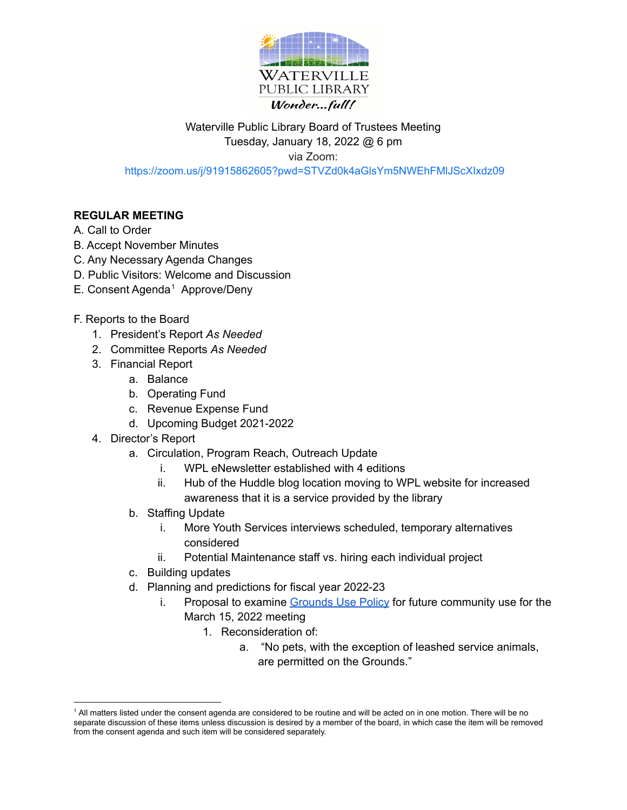

## Waterville Public Library Board of Trustees Meeting Tuesday, January 18, 2022 @ 6 pm via Zoom: <https://zoom.us/j/91915862605?pwd=STVZd0k4aGlsYm5NWEhFMlJScXIxdz09>

## **REGULAR MEETING**

## A. Call to Order

- B. Accept November Minutes
- C. Any Necessary Agenda Changes
- D. Public Visitors: Welcome and Discussion
- E. Consent Agenda <sup>1</sup> Approve/Deny
- F. Reports to the Board
	- 1. President's Report *As Needed*
	- 2. Committee Reports *As Needed*
	- 3. Financial Report
		- a. Balance
		- b. Operating Fund
		- c. Revenue Expense Fund
		- d. Upcoming Budget 2021-2022
	- 4. Director's Report
		- a. Circulation, Program Reach, Outreach Update
			- i. WPL eNewsletter established with 4 editions
			- ii. Hub of the Huddle blog location moving to WPL website for increased awareness that it is a service provided by the library
		- b. Staffing Update
			- i. More Youth Services interviews scheduled, temporary alternatives considered
			- ii. Potential Maintenance staff vs. hiring each individual project
		- c. Building updates
		- d. Planning and predictions for fiscal year 2022-23
			- i. Proposal to examine [Grounds](https://www.watervillepl.org/grounds-policy/) Use Policy for future community use for the March 15, 2022 meeting
				- 1. Reconsideration of:
					- a. "No pets, with the exception of leashed service animals, are permitted on the Grounds."

<sup>1</sup> All matters listed under the consent agenda are considered to be routine and will be acted on in one motion. There will be no separate discussion of these items unless discussion is desired by a member of the board, in which case the item will be removed from the consent agenda and such item will be considered separately.